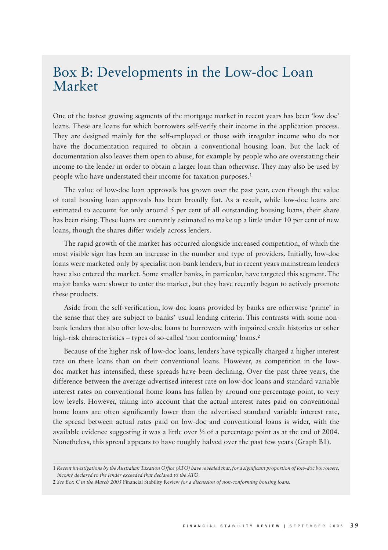## Box B: Developments in the Low-doc Loan Market

One of the fastest growing segments of the mortgage market in recent years has been 'low doc' loans. These are loans for which borrowers self-verify their income in the application process. They are designed mainly for the self-employed or those with irregular income who do not have the documentation required to obtain a conventional housing loan. But the lack of documentation also leaves them open to abuse, for example by people who are overstating their income to the lender in order to obtain a larger loan than otherwise. They may also be used by people who have understated their income for taxation purposes.<sup>1</sup>

The value of low-doc loan approvals has grown over the past year, even though the value of total housing loan approvals has been broadly flat. As a result, while low-doc loans are estimated to account for only around 5 per cent of all outstanding housing loans, their share has been rising. These loans are currently estimated to make up a little under 10 per cent of new loans, though the shares differ widely across lenders.

The rapid growth of the market has occurred alongside increased competition, of which the most visible sign has been an increase in the number and type of providers. Initially, low-doc loans were marketed only by specialist non-bank lenders, but in recent years mainstream lenders have also entered the market. Some smaller banks, in particular, have targeted this segment. The major banks were slower to enter the market, but they have recently begun to actively promote these products.

Aside from the self-verification, low-doc loans provided by banks are otherwise 'prime' in the sense that they are subject to banks' usual lending criteria. This contrasts with some nonbank lenders that also offer low-doc loans to borrowers with impaired credit histories or other high-risk characteristics – types of so-called 'non conforming' loans.<sup>2</sup>

Because of the higher risk of low-doc loans, lenders have typically charged a higher interest rate on these loans than on their conventional loans. However, as competition in the lowdoc market has intensified, these spreads have been declining. Over the past three years, the difference between the average advertised interest rate on low-doc loans and standard variable interest rates on conventional home loans has fallen by around one percentage point, to very low levels. However, taking into account that the actual interest rates paid on conventional home loans are often significantly lower than the advertised standard variable interest rate, the spread between actual rates paid on low-doc and conventional loans is wider, with the available evidence suggesting it was a little over ½ of a percentage point as at the end of 2004. Nonetheless, this spread appears to have roughly halved over the past few years (Graph B1).

<sup>1</sup> Recent investigations by the Australian Taxation Office (ATO) have revealed that, for a significant proportion of low-doc borrowers, *income declared to the lender exceeded that declared to the ATO.*

<sup>2</sup> *See Box C in the March 2005* Financial Stability Review *for a discussion of non-conforming housing loans.*